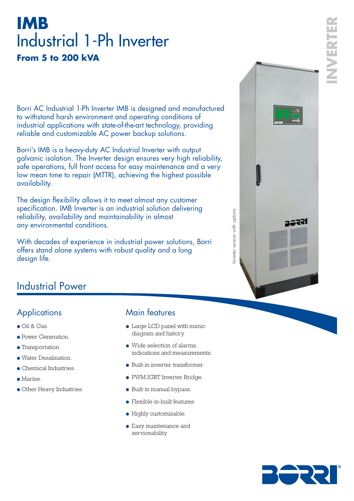# **IMB** Industrial 1-Ph Inverter **From 5 to 200 kVA**

Borri AC Industrial 1-Ph Inverter IMB is designed and manufactured to withstand harsh environment and operating conditions of industrial applications with state-of-the-art technology, providing reliable and customizable AC power backup solutions.

Borri's IMB is a heavy-duty AC Industrial Inverter with output galvanic isolation. The Inverter design ensures very high reliability, safe operations, full front access for easy maintenance and a very low mean time to repair (MTTR), achieving the highest possible availability.

The design flexibility allows it to meet almost any customer specification. IMB Inverter is an industrial solution delivering reliability, availability and maintainability in almost any environmental conditions.

With decades of experience in industrial power solutions, Borri offers stand alone systems with robust quality and a long design life.



## Industrial Power

## **Applications**

- Oil & Gas.
- Power Generation.
- Transportation.
- Water Desalination.
- Chemical Industries.
- Marine.
- Other Heavy Industries.

## Main features

- Large LCD panel with mimic diagram and history.
- $\bullet$  Wide selection of alarms. indications and measurements.
- Built-in inverter transformer.
- PWM IGBT Inverter Bridge.
- Built-in manual bypass.
- Flexible in-built features.
- Highly customizable.
- Easy maintenance and serviceability.

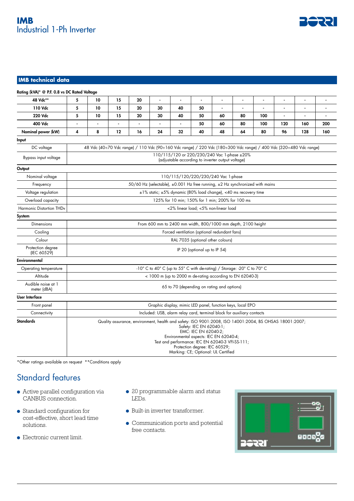

#### **IMB technical data**

| 48 Vdc**                          | 5                                                                                                                                                                                                                                                                                                                               | 10             | 15     | 20 | $\overline{a}$ | $\overline{a}$ | ÷.                                                          |    | $\overline{a}$ | ۰   | $\sim$         | $\overline{a}$ |                |
|-----------------------------------|---------------------------------------------------------------------------------------------------------------------------------------------------------------------------------------------------------------------------------------------------------------------------------------------------------------------------------|----------------|--------|----|----------------|----------------|-------------------------------------------------------------|----|----------------|-----|----------------|----------------|----------------|
| 110 Vdc                           | 5                                                                                                                                                                                                                                                                                                                               | 10             | 15     | 20 | 30             | 40             | 50                                                          |    | $\blacksquare$ |     | $\blacksquare$ |                |                |
| 220 Vdc                           | 5                                                                                                                                                                                                                                                                                                                               | 10             | 15     | 20 | 30             | 40             | 50                                                          | 60 | 80             | 100 | $\blacksquare$ | $\blacksquare$ | $\overline{a}$ |
| 400 Vdc                           | $\overline{a}$                                                                                                                                                                                                                                                                                                                  | $\blacksquare$ | $\sim$ |    |                | $\blacksquare$ | 50                                                          | 60 | 80             | 100 | 120            | 160            | 200            |
| Nominal power (kW)                | 4                                                                                                                                                                                                                                                                                                                               | 8              | 12     | 16 | 24             | 32             | 40                                                          | 48 | 64             | 80  | 96             | 128            | 160            |
| Input                             |                                                                                                                                                                                                                                                                                                                                 |                |        |    |                |                |                                                             |    |                |     |                |                |                |
| DC voltage                        | 48 Vdc (40÷70 Vdc range) / 110 Vdc (90÷160 Vdc range) / 220 Vdc (180÷300 Vdc range) / 400 Vdc (320÷480 Vdc range)                                                                                                                                                                                                               |                |        |    |                |                |                                                             |    |                |     |                |                |                |
| Bypass input voltage              | 110/115/120 or 220/230/240 Vac 1-phase ±20%<br>(adjustable according to inverter output voltage)                                                                                                                                                                                                                                |                |        |    |                |                |                                                             |    |                |     |                |                |                |
| Output                            |                                                                                                                                                                                                                                                                                                                                 |                |        |    |                |                |                                                             |    |                |     |                |                |                |
| Nominal voltage                   | 110/115/120/220/230/240 Vac 1-phase                                                                                                                                                                                                                                                                                             |                |        |    |                |                |                                                             |    |                |     |                |                |                |
| Frequency                         | 50/60 Hz (selectable), ±0.001 Hz free running, ±2 Hz synchronized with mains                                                                                                                                                                                                                                                    |                |        |    |                |                |                                                             |    |                |     |                |                |                |
| Voltage regulation                | ±1% static; ±5% dynamic (80% load change), <40 ms recovery time                                                                                                                                                                                                                                                                 |                |        |    |                |                |                                                             |    |                |     |                |                |                |
| Overload capacity                 | 125% for 10 min; 150% for 1 min; 200% for 100 ms                                                                                                                                                                                                                                                                                |                |        |    |                |                |                                                             |    |                |     |                |                |                |
| Harmonic Distortion THDv          |                                                                                                                                                                                                                                                                                                                                 |                |        |    |                |                | <2% linear load; <5% non-linear load                        |    |                |     |                |                |                |
| System                            |                                                                                                                                                                                                                                                                                                                                 |                |        |    |                |                |                                                             |    |                |     |                |                |                |
| Dimensions                        | From 600 mm to 2400 mm width, 800/1000 mm depth, 2100 height                                                                                                                                                                                                                                                                    |                |        |    |                |                |                                                             |    |                |     |                |                |                |
| Cooling                           | Forced ventilation (optional redundant fans)                                                                                                                                                                                                                                                                                    |                |        |    |                |                |                                                             |    |                |     |                |                |                |
| Colour                            | RAL 7035 (optional other colours)                                                                                                                                                                                                                                                                                               |                |        |    |                |                |                                                             |    |                |     |                |                |                |
| Protection degree<br>(IEC 60529)  | IP 20 (optional up to IP 54)                                                                                                                                                                                                                                                                                                    |                |        |    |                |                |                                                             |    |                |     |                |                |                |
| Environmental                     |                                                                                                                                                                                                                                                                                                                                 |                |        |    |                |                |                                                             |    |                |     |                |                |                |
| Operating temperature             | -10° C to 40° C (up to 55° C with de-rating) / Storage: -20° C to 70° C                                                                                                                                                                                                                                                         |                |        |    |                |                |                                                             |    |                |     |                |                |                |
| Altitude                          |                                                                                                                                                                                                                                                                                                                                 |                |        |    |                |                | $<$ 1000 m (up to 2000 m de-rating according to EN 62040-3) |    |                |     |                |                |                |
| Audible noise at 1<br>meter (dBA) |                                                                                                                                                                                                                                                                                                                                 |                |        |    |                |                | 65 to 70 (depending on rating and options)                  |    |                |     |                |                |                |
| <b>User Interface</b>             |                                                                                                                                                                                                                                                                                                                                 |                |        |    |                |                |                                                             |    |                |     |                |                |                |
| Front panel                       | Graphic display, mimic LED panel, function keys, local EPO                                                                                                                                                                                                                                                                      |                |        |    |                |                |                                                             |    |                |     |                |                |                |
| Connectivity                      | Included: USB, alarm relay card, terminal block for auxiliary contacts                                                                                                                                                                                                                                                          |                |        |    |                |                |                                                             |    |                |     |                |                |                |
| <b>Standards</b>                  | Quality assurance, environment, health and safety: ISO 9001:2008, ISO 14001:2004, BS OHSAS 18001:2007;<br>Safety: IEC EN 62040-1;<br>EMC: IEC EN 62040-2;<br>Environmental aspects: IEC EN 62040-4;<br>Test and performance: IEC EN 62040-3 VFI-SS-111;<br>Protection degree: IEC 60529;<br>Marking: CE; Optional: UL Certified |                |        |    |                |                |                                                             |    |                |     |                |                |                |

\*Other ratings available on request \*\*Conditions apply

## Standard features

- Active parallel configuration via CANBUS connection.
- Standard configuration for cost-effective, short lead time solutions.
- Electronic current limit.
- 20 programmable alarm and status LEDs.
- Built-in inverter transformer.
- Communication ports and potential free contacts.

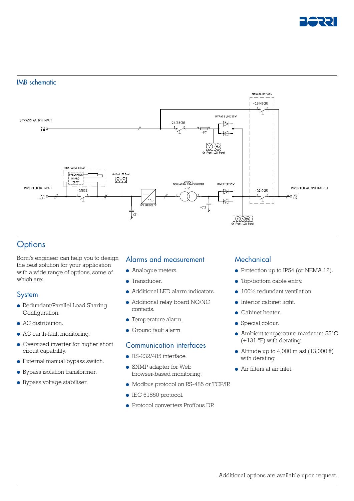

#### IMB schematic



## **Options**

Borri's engineer can help you to design the best solution for your application with a wide range of options, some of which are:

#### System

- Redundant/Parallel Load Sharing Configuration.
- AC distribution.
- AC earth-fault monitoring.
- Oversized inverter for higher short circuit capability.
- External manual bypass switch.
- Bypass isolation transformer.
- Bypass voltage stabiliser.

#### Alarms and measurement

- Analogue meters.
- Transducer.
- Additional LED alarm indicators.
- Additional relay board NO/NC contacts.
- Temperature alarm.
- Ground fault alarm.

#### Communication interfaces

- $\bullet$  RS-232/485 interface.
- SNMP adapter for Web browser-based monitoring.
- Modbus protocol on RS-485 or TCP/IP.
- IEC 61850 protocol.
- Protocol converters Profibus DP.

#### **Mechanical**

- Protection up to IP54 (or NEMA 12).
- Top/bottom cable entry.
- 100% redundant ventilation.
- Interior cabinet light.
- Cabinet heater.
- Special colour.
- Ambient temperature maximum 55°C  $(+131 \text{ °F})$  with derating.
- Altitude up to  $4,000$  m asl  $(13,000$  ft) with derating.
- Air filters at air inlet.